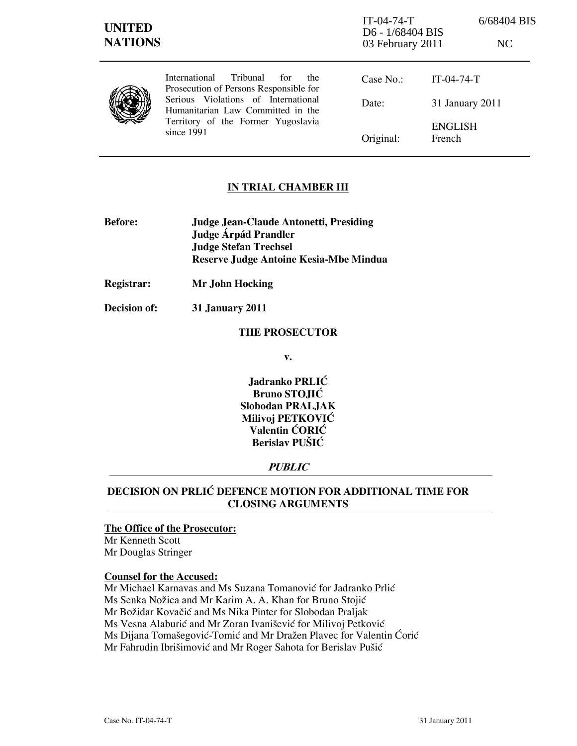# IN TRIAL CHAMBER III

- Before: Judge Jean-Claude Antonetti, Presiding Judge Árpád Prandler Judge Stefan Trechsel Reserve Judge Antoine Kesia-Mbe Mindua
- Registrar: Mr John Hocking
- Decision of: 31 January 2011

### THE PROSECUTOR

v.

Jadranko PRLIĆ Bruno STOJIĆ Slobodan PRALJAK Milivoj PETKOVIĆ Valentin ĆORIĆ Berislav PUŠIĆ

### **PUBLIC**

# DECISION ON PRLIĆ DEFENCE MOTION FOR ADDITIONAL TIME FOR CLOSING ARGUMENTS

### The Office of the Prosecutor:

Mr Kenneth Scott Mr Douglas Stringer

### Counsel for the Accused:

Mr Michael Karnavas and Ms Suzana Tomanović for Jadranko Prlić Ms Senka Nožica and Mr Karim A. A. Khan for Bruno Stojić Mr Božidar Kovačić and Ms Nika Pinter for Slobodan Praljak Ms Vesna Alaburić and Mr Zoran Ivanišević for Milivoj Petković Ms Dijana Tomašegović-Tomić and Mr Dražen Plavec for Valentin Ćorić Mr Fahrudin Ibrišimović and Mr Roger Sahota for Berislav Pušić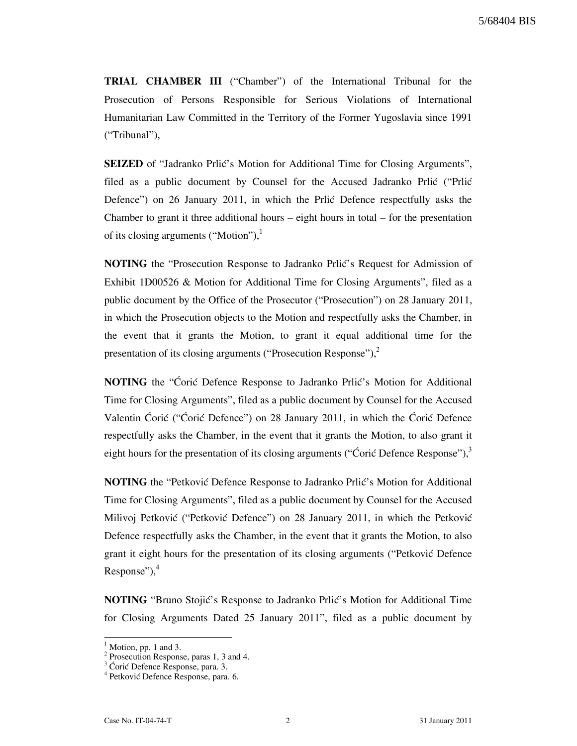TRIAL CHAMBER III ("Chamber") of the International Tribunal for the Prosecution of Persons Responsible for Serious Violations of International Humanitarian Law Committed in the Territory of the Former Yugoslavia since 1991 ("Tribunal"),

**SEIZED** of "Jadranko Prlić's Motion for Additional Time for Closing Arguments", filed as a public document by Counsel for the Accused Jadranko Prlić ("Prlić Defence") on 26 January 2011, in which the Prlić Defence respectfully asks the Chamber to grant it three additional hours  $-$  eight hours in total  $-$  for the presentation of its closing arguments ("Motion"), $<sup>1</sup>$ </sup>

NOTING the "Prosecution Response to Jadranko Prlić's Request for Admission of Exhibit 1D00526 & Motion for Additional Time for Closing Arguments", filed as a public document by the Office of the Prosecutor ("Prosecution") on 28 January 2011, in which the Prosecution objects to the Motion and respectfully asks the Chamber, in the event that it grants the Motion, to grant it equal additional time for the presentation of its closing arguments ("Prosecution Response"), $^2$ 

NOTING the "Coric Defence Response to Jadranko Prlic's Motion for Additional Time for Closing Arguments", filed as a public document by Counsel for the Accused Valentin Ćorić ("Ćorić Defence") on 28 January 2011, in which the Ćorić Defence respectfully asks the Chamber, in the event that it grants the Motion, to also grant it eight hours for the presentation of its closing arguments ("Ćorić Defence Response"), $3$ 

NOTING the "Petković Defence Response to Jadranko Prlić's Motion for Additional Time for Closing Arguments", filed as a public document by Counsel for the Accused Milivoj Petković ("Petković Defence") on 28 January 2011, in which the Petković Defence respectfully asks the Chamber, in the event that it grants the Motion, to also grant it eight hours for the presentation of its closing arguments ("Petković Defence" Response"), $4$ 

NOTING "Bruno Stojić's Response to Jadranko Prlić's Motion for Additional Time for Closing Arguments Dated 25 January 2011", filed as a public document by

 $<sup>1</sup>$  Motion, pp. 1 and 3.</sup>

<sup>&</sup>lt;sup>2</sup> Prosecution Response, paras 1, 3 and 4.

<sup>&</sup>lt;sup>3</sup> Ćorić Defence Response, para. 3.

<sup>&</sup>lt;sup>4</sup> Petković Defence Response, para. 6.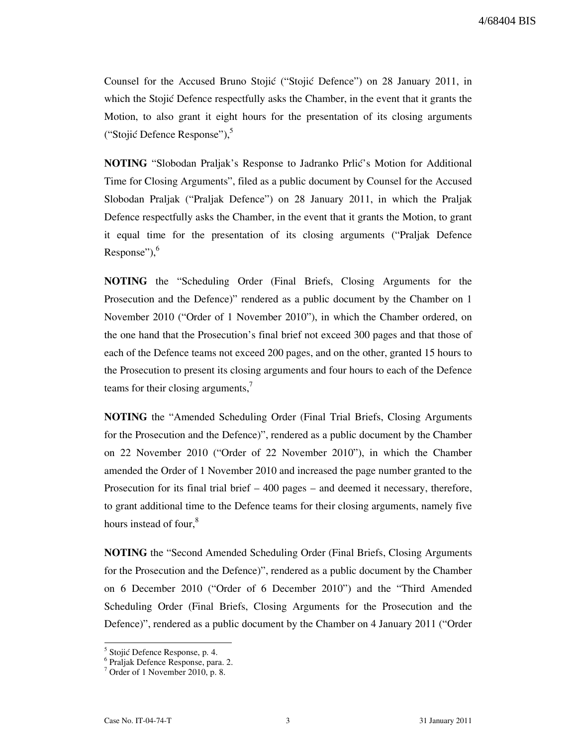Counsel for the Accused Bruno Stojić ("Stojić Defence") on 28 January 2011, in which the Stojić Defence respectfully asks the Chamber, in the event that it grants the Motion, to also grant it eight hours for the presentation of its closing arguments ("Stojić Defence Response"),<sup>5</sup>

**NOTING** "Slobodan Praljak's Response to Jadranko Prlić's Motion for Additional Time for Closing Arguments", filed as a public document by Counsel for the Accused Slobodan Praljak ("Praljak Defence") on 28 January 2011, in which the Praljak Defence respectfully asks the Chamber, in the event that it grants the Motion, to grant it equal time for the presentation of its closing arguments ("Praljak Defence Response"), $6$ 

NOTING the "Scheduling Order (Final Briefs, Closing Arguments for the Prosecution and the Defence)" rendered as a public document by the Chamber on 1 November 2010 ("Order of 1 November 2010"), in which the Chamber ordered, on the one hand that the Prosecution's final brief not exceed 300 pages and that those of each of the Defence teams not exceed 200 pages, and on the other, granted 15 hours to the Prosecution to present its closing arguments and four hours to each of the Defence teams for their closing arguments,<sup>7</sup>

NOTING the "Amended Scheduling Order (Final Trial Briefs, Closing Arguments for the Prosecution and the Defence)", rendered as a public document by the Chamber on 22 November 2010 ("Order of 22 November 2010"), in which the Chamber amended the Order of 1 November 2010 and increased the page number granted to the Prosecution for its final trial brief – 400 pages – and deemed it necessary, therefore, to grant additional time to the Defence teams for their closing arguments, namely five hours instead of four,<sup>8</sup>

NOTING the "Second Amended Scheduling Order (Final Briefs, Closing Arguments for the Prosecution and the Defence)", rendered as a public document by the Chamber on 6 December 2010 ("Order of 6 December 2010") and the "Third Amended Scheduling Order (Final Briefs, Closing Arguments for the Prosecution and the Defence)", rendered as a public document by the Chamber on 4 January 2011 ("Order

<sup>&</sup>lt;sup>5</sup> Stojić Defence Response, p. 4.

<sup>6</sup> Praljak Defence Response, para. 2.

<sup>&</sup>lt;sup>7</sup> Order of 1 November 2010, p. 8.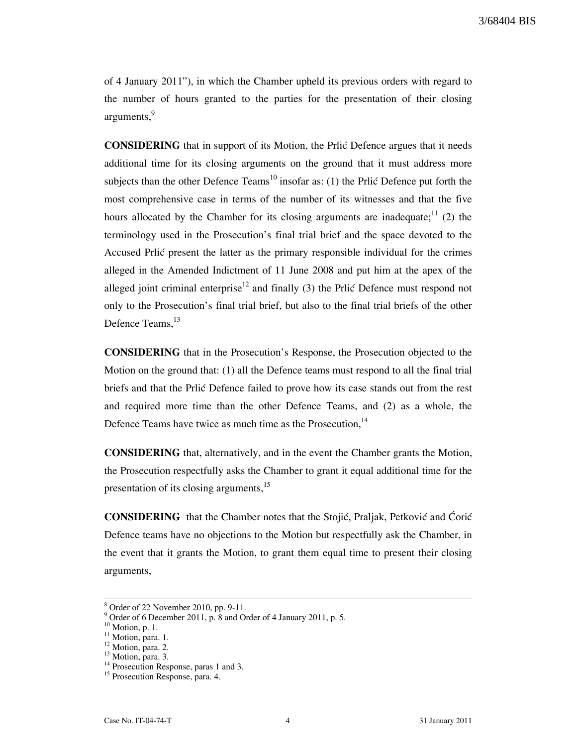of 4 January 2011"), in which the Chamber upheld its previous orders with regard to the number of hours granted to the parties for the presentation of their closing arguments,<sup>9</sup>

**CONSIDERING** that in support of its Motion, the Prlic Defence argues that it needs additional time for its closing arguments on the ground that it must address more subjects than the other Defence Teams<sup>10</sup> insofar as: (1) the Prlic Defence put forth the most comprehensive case in terms of the number of its witnesses and that the five hours allocated by the Chamber for its closing arguments are inadequate;  $\frac{11}{2}$  (2) the terminology used in the Prosecution's final trial brief and the space devoted to the Accused Prlić present the latter as the primary responsible individual for the crimes alleged in the Amended Indictment of 11 June 2008 and put him at the apex of the alleged joint criminal enterprise<sup>12</sup> and finally (3) the Prlić Defence must respond not only to the Prosecution's final trial brief, but also to the final trial briefs of the other Defence Teams.<sup>13</sup>

CONSIDERING that in the Prosecution's Response, the Prosecution objected to the Motion on the ground that: (1) all the Defence teams must respond to all the final trial briefs and that the Prlić Defence failed to prove how its case stands out from the rest and required more time than the other Defence Teams, and (2) as a whole, the Defence Teams have twice as much time as the Prosecution,<sup>14</sup>

CONSIDERING that, alternatively, and in the event the Chamber grants the Motion, the Prosecution respectfully asks the Chamber to grant it equal additional time for the presentation of its closing arguments,<sup>15</sup>

CONSIDERING that the Chamber notes that the Stojić, Praljak, Petković and Ćorić Defence teams have no objections to the Motion but respectfully ask the Chamber, in the event that it grants the Motion, to grant them equal time to present their closing arguments,

 $\overline{a}$ 

<sup>8</sup> Order of 22 November 2010, pp. 9-11.

<sup>9</sup> Order of 6 December 2011, p. 8 and Order of 4 January 2011, p. 5.

 $10$  Motion, p. 1.

 $11$  Motion, para. 1.

<sup>&</sup>lt;sup>12</sup> Motion, para. 2.

<sup>&</sup>lt;sup>13</sup> Motion, para. 3.

 $14$  Prosecution Response, paras 1 and 3.

<sup>&</sup>lt;sup>15</sup> Prosecution Response, para. 4.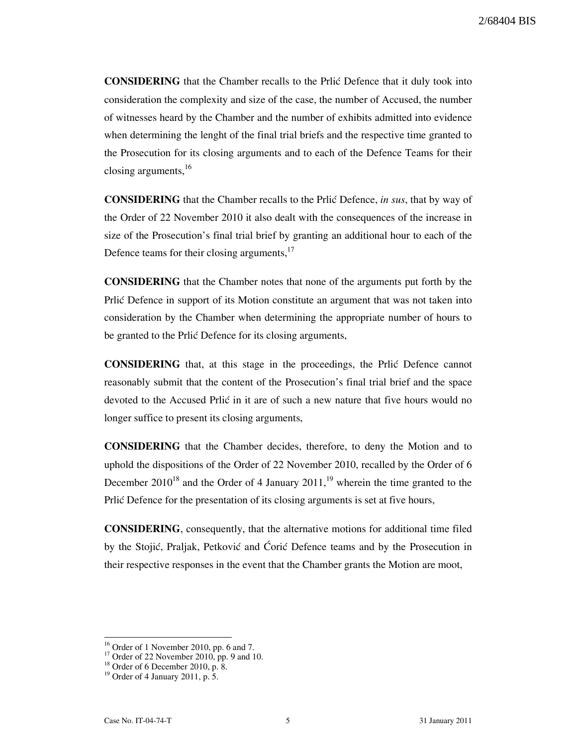**CONSIDERING** that the Chamber recalls to the Prlic Defence that it duly took into consideration the complexity and size of the case, the number of Accused, the number of witnesses heard by the Chamber and the number of exhibits admitted into evidence when determining the lenght of the final trial briefs and the respective time granted to the Prosecution for its closing arguments and to each of the Defence Teams for their closing arguments,<sup>16</sup>

**CONSIDERING** that the Chamber recalls to the Prlić Defence, in sus, that by way of the Order of 22 November 2010 it also dealt with the consequences of the increase in size of the Prosecution's final trial brief by granting an additional hour to each of the Defence teams for their closing arguments,<sup>17</sup>

CONSIDERING that the Chamber notes that none of the arguments put forth by the Prlic Defence in support of its Motion constitute an argument that was not taken into consideration by the Chamber when determining the appropriate number of hours to be granted to the Prlić Defence for its closing arguments,

CONSIDERING that, at this stage in the proceedings, the Prli} Defence cannot reasonably submit that the content of the Prosecution's final trial brief and the space devoted to the Accused Prlić in it are of such a new nature that five hours would no longer suffice to present its closing arguments,

CONSIDERING that the Chamber decides, therefore, to deny the Motion and to uphold the dispositions of the Order of 22 November 2010, recalled by the Order of 6 December  $2010^{18}$  and the Order of 4 January  $2011<sup>19</sup>$ , wherein the time granted to the Prlić Defence for the presentation of its closing arguments is set at five hours,

CONSIDERING, consequently, that the alternative motions for additional time filed by the Stojić, Praljak, Petković and Ćorić Defence teams and by the Prosecution in their respective responses in the event that the Chamber grants the Motion are moot,

 $\overline{a}$ 

 $16$  Order of 1 November 2010, pp. 6 and 7.

 $17$  Order of 22 November 2010, pp. 9 and 10.

<sup>18</sup> Order of 6 December 2010, p. 8.

<sup>&</sup>lt;sup>19</sup> Order of 4 January 2011, p.  $\hat{5}$ .